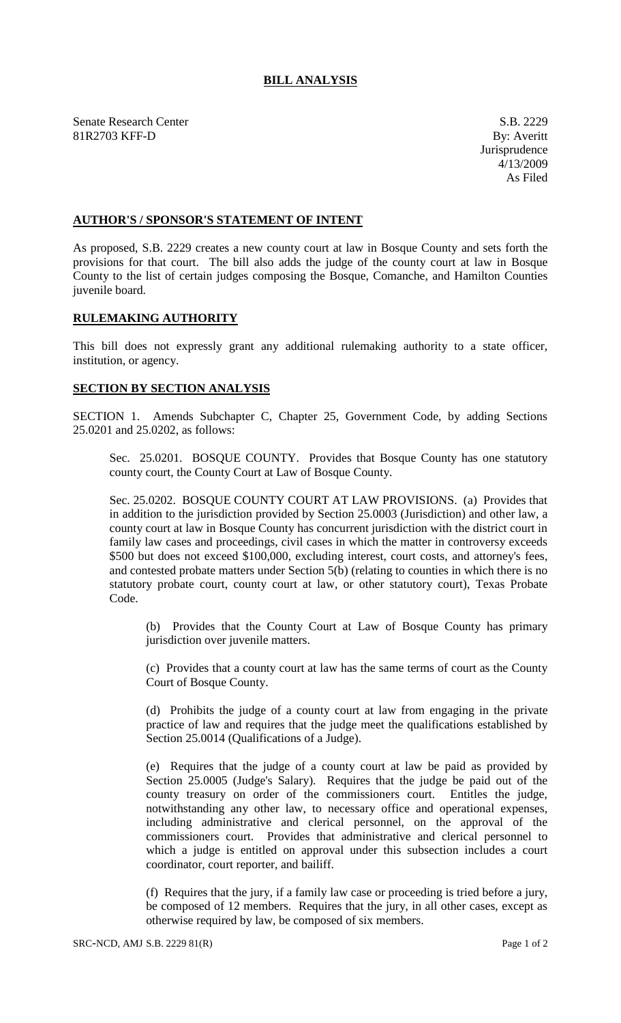## **BILL ANALYSIS**

Senate Research Center S.B. 2229 81R2703 KFF-D By: Averitt

## **AUTHOR'S / SPONSOR'S STATEMENT OF INTENT**

As proposed, S.B. 2229 creates a new county court at law in Bosque County and sets forth the provisions for that court. The bill also adds the judge of the county court at law in Bosque County to the list of certain judges composing the Bosque, Comanche, and Hamilton Counties juvenile board.

## **RULEMAKING AUTHORITY**

This bill does not expressly grant any additional rulemaking authority to a state officer, institution, or agency.

## **SECTION BY SECTION ANALYSIS**

SECTION 1. Amends Subchapter C, Chapter 25, Government Code, by adding Sections 25.0201 and 25.0202, as follows:

Sec. 25.0201. BOSQUE COUNTY. Provides that Bosque County has one statutory county court, the County Court at Law of Bosque County.

Sec. 25.0202. BOSQUE COUNTY COURT AT LAW PROVISIONS. (a) Provides that in addition to the jurisdiction provided by Section 25.0003 (Jurisdiction) and other law, a county court at law in Bosque County has concurrent jurisdiction with the district court in family law cases and proceedings, civil cases in which the matter in controversy exceeds \$500 but does not exceed \$100,000, excluding interest, court costs, and attorney's fees, and contested probate matters under Section 5(b) (relating to counties in which there is no statutory probate court, county court at law, or other statutory court), Texas Probate Code.

(b) Provides that the County Court at Law of Bosque County has primary jurisdiction over juvenile matters.

(c) Provides that a county court at law has the same terms of court as the County Court of Bosque County.

(d) Prohibits the judge of a county court at law from engaging in the private practice of law and requires that the judge meet the qualifications established by Section 25.0014 (Qualifications of a Judge).

(e) Requires that the judge of a county court at law be paid as provided by Section 25.0005 (Judge's Salary). Requires that the judge be paid out of the county treasury on order of the commissioners court. Entitles the judge, notwithstanding any other law, to necessary office and operational expenses, including administrative and clerical personnel, on the approval of the commissioners court. Provides that administrative and clerical personnel to which a judge is entitled on approval under this subsection includes a court coordinator, court reporter, and bailiff.

(f) Requires that the jury, if a family law case or proceeding is tried before a jury, be composed of 12 members. Requires that the jury, in all other cases, except as otherwise required by law, be composed of six members.